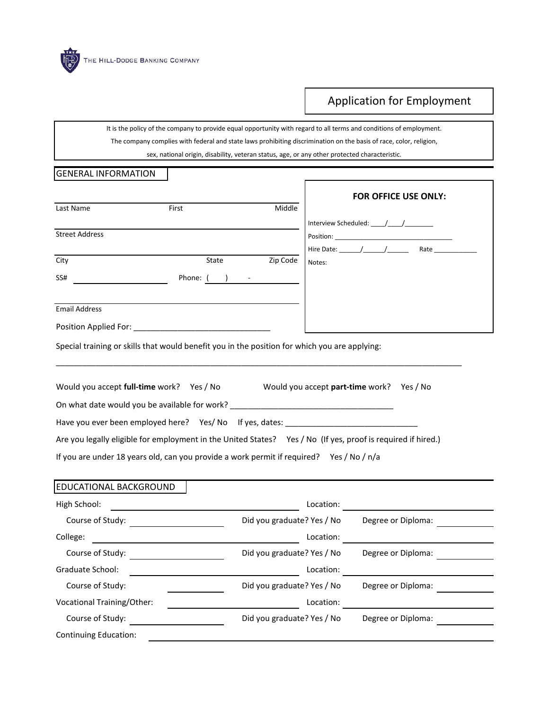

## Application for Employment

It is the policy of the company to provide equal opportunity with regard to all terms and conditions of employment. The company complies with federal and state laws prohibiting discrimination on the basis of race, color, religion,

sex, national origin, disability, veteran status, age, or any other protected characteristic.

Г

## GENERAL INFORMATION

|                       |                                                                                               |          | <b>FOR OFFICE USE ONLY:</b>                                                                                  |
|-----------------------|-----------------------------------------------------------------------------------------------|----------|--------------------------------------------------------------------------------------------------------------|
| Last Name             | First                                                                                         | Middle   |                                                                                                              |
|                       |                                                                                               |          | Interview Scheduled: $\frac{1}{\sqrt{2}}$                                                                    |
| <b>Street Address</b> |                                                                                               |          |                                                                                                              |
| City                  | State                                                                                         | Zip Code | Notes:                                                                                                       |
| SS#                   | Phone: $($ ) $-$                                                                              |          |                                                                                                              |
|                       |                                                                                               |          |                                                                                                              |
| <b>Email Address</b>  |                                                                                               |          |                                                                                                              |
|                       |                                                                                               |          |                                                                                                              |
|                       | Special training or skills that would benefit you in the position for which you are applying: |          |                                                                                                              |
|                       |                                                                                               |          | Would you accept full-time work? Yes / No Would you accept part-time work? Yes / No                          |
|                       | On what date would you be available for work? __________________________________              |          |                                                                                                              |
|                       | Have you ever been employed here? Yes/ No If yes, dates: ________________________             |          |                                                                                                              |
|                       |                                                                                               |          | Are you legally eligible for employment in the United States? Yes / No (If yes, proof is required if hired.) |

## If you are under 18 years old, can you provide a work permit if required? Yes / No / n/a

## EDUCATIONAL BACKGROUND High School: Location: Location: Location: Location: Location: Location: Location: Location: Location: Location: Location: Location: Location: Location: Location: Location: Location: Location: Location: Location: Location: College: Location: Graduate School: <u>Location:</u> Location: Location: Location: Location: Location: Location: Location: Location: Location: Location: Location: Location: Location: Location: Location: Location: Location: Location: Location: Loc Vocational Training/Other: Location: Continuing Education: Course of Study: Course of Study: Course of Study: Course of Diploma: Diploma: Course of Study: The Study: The Study: Course of Study: and Degree or Diploma: Course of Study: The Study: The Study: Course of Study: and Degree or Diploma: Course of Study: The Study: The Study of Diplomation of Diplomation of Diploma: Degree or Diploma: